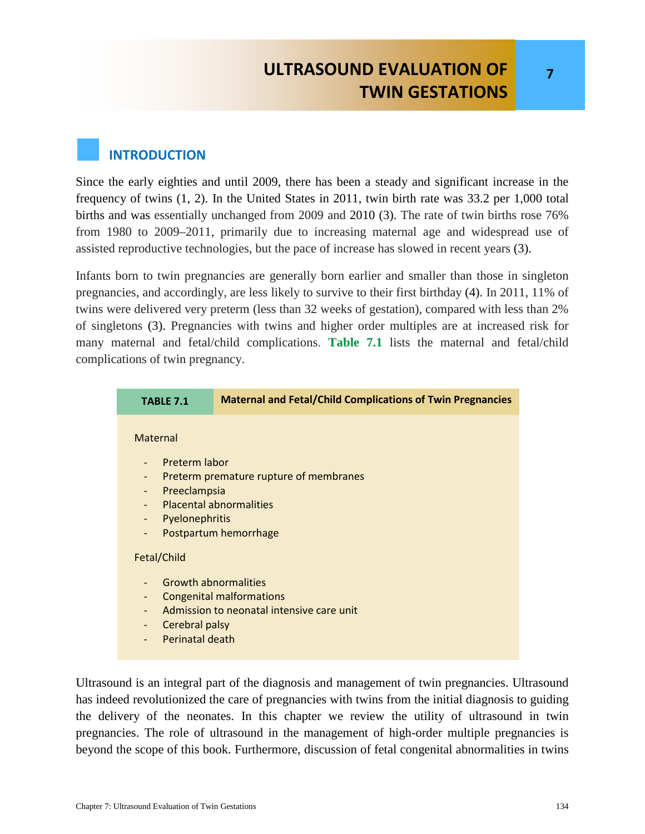# **ULTRASOUND EVALUATION OF TWIN GESTATIONS**

#### **INTRODUCTION**

Since the early eighties and until 2009, there has been a steady and significant increase in the frequency of twins (1, 2). In the United States in 2011, twin birth rate was 33.2 per 1,000 total births and was essentially unchanged from 2009 and 2010 (3). The rate of twin births rose 76% from 1980 to 2009–2011, primarily due to increasing maternal age and widespread use of assisted reproductive technologies, but the pace of increase has slowed in recent years (3).

Infants born to twin pregnancies are generally born earlier and smaller than those in singleton pregnancies, and accordingly, are less likely to survive to their first birthday (4). In 2011, 11% of twins were delivered very preterm (less than 32 weeks of gestation), compared with less than 2% of singletons (3). Pregnancies with twins and higher order multiples are at increased risk for many maternal and fetal/child complications. **Table 7.1** lists the maternal and fetal/child complications of twin pregnancy.



Ultrasound is an integral part of the diagnosis and management of twin pregnancies. Ultrasound has indeed revolutionized the care of pregnancies with twins from the initial diagnosis to guiding the delivery of the neonates. In this chapter we review the utility of ultrasound in twin pregnancies. The role of ultrasound in the management of high-order multiple pregnancies is beyond the scope of this book. Furthermore, discussion of fetal congenital abnormalities in twins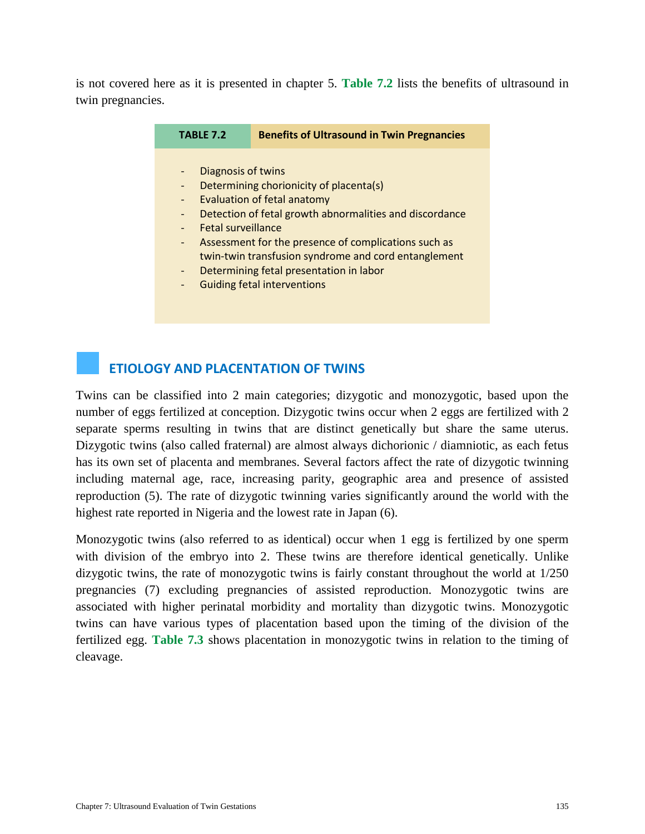is not covered here as it is presented in chapter 5. **Table 7.2** lists the benefits of ultrasound in twin pregnancies.

| <b>TABLE 7.2</b>                                                                                                                                                                                                                                                                                                                                                                                                                                      |
|-------------------------------------------------------------------------------------------------------------------------------------------------------------------------------------------------------------------------------------------------------------------------------------------------------------------------------------------------------------------------------------------------------------------------------------------------------|
| Diagnosis of twins<br>Determining chorionicity of placenta(s)<br>Evaluation of fetal anatomy<br>Detection of fetal growth abnormalities and discordance<br>$\overline{\phantom{a}}$<br><b>Fetal surveillance</b><br>Assessment for the presence of complications such as<br>$\blacksquare$<br>twin-twin transfusion syndrome and cord entanglement<br>Determining fetal presentation in labor<br>$\blacksquare$<br><b>Guiding fetal interventions</b> |

## **ETIOLOGY AND PLACENTATION OF TWINS**

Twins can be classified into 2 main categories; dizygotic and monozygotic, based upon the number of eggs fertilized at conception. Dizygotic twins occur when 2 eggs are fertilized with 2 separate sperms resulting in twins that are distinct genetically but share the same uterus. Dizygotic twins (also called fraternal) are almost always dichorionic / diamniotic, as each fetus has its own set of placenta and membranes. Several factors affect the rate of dizygotic twinning including maternal age, race, increasing parity, geographic area and presence of assisted reproduction (5). The rate of dizygotic twinning varies significantly around the world with the highest rate reported in Nigeria and the lowest rate in Japan (6).

Monozygotic twins (also referred to as identical) occur when 1 egg is fertilized by one sperm with division of the embryo into 2. These twins are therefore identical genetically. Unlike dizygotic twins, the rate of monozygotic twins is fairly constant throughout the world at  $1/250$ pregnancies (7) excluding pregnancies of assisted reproduction. Monozygotic twins are associated with higher perinatal morbidity and mortality than dizygotic twins. Monozygotic twins can have various types of placentation based upon the timing of the division of the fertilized egg. **Table 7.3** shows placentation in monozygotic twins in relation to the timing of cleavage.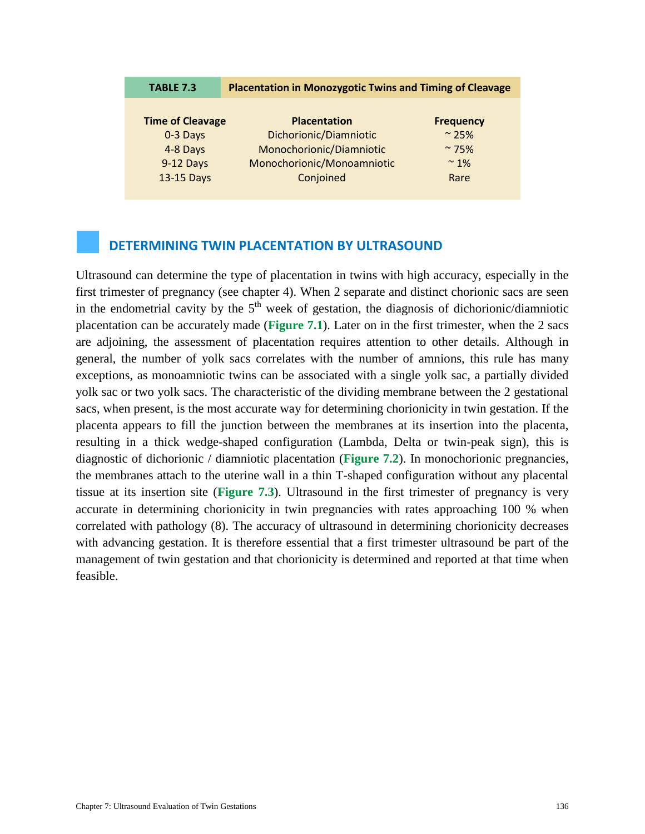| <b>TABLE 7.3</b>        | <b>Placentation in Monozygotic Twins and Timing of Cleavage</b> |                  |  |
|-------------------------|-----------------------------------------------------------------|------------------|--|
|                         |                                                                 |                  |  |
| <b>Time of Cleavage</b> | <b>Placentation</b>                                             | <b>Frequency</b> |  |
| 0-3 Days                | Dichorionic/Diamniotic                                          | $~^{\circ}$ 25%  |  |
| 4-8 Days                | Monochorionic/Diamniotic                                        | $~\sim$ 75%      |  |
| 9-12 Days               | Monochorionic/Monoamniotic                                      | $~\sim$ 1%       |  |
| 13-15 Days              | Conjoined                                                       | Rare             |  |

#### **DETERMINING TWIN PLACENTATION BY ULTRASOUND**

Ultrasound can determine the type of placentation in twins with high accuracy, especially in the first trimester of pregnancy (see chapter 4). When 2 separate and distinct chorionic sacs are seen in the endometrial cavity by the  $5<sup>th</sup>$  week of gestation, the diagnosis of dichorionic/diamniotic placentation can be accurately made (**Figure 7.1**). Later on in the first trimester, when the 2 sacs are adjoining, the assessment of placentation requires attention to other details. Although in general, the number of yolk sacs correlates with the number of amnions, this rule has many exceptions, as monoamniotic twins can be associated with a single yolk sac, a partially divided yolk sac or two yolk sacs. The characteristic of the dividing membrane between the 2 gestational sacs, when present, is the most accurate way for determining chorionicity in twin gestation. If the placenta appears to fill the junction between the membranes at its insertion into the placenta, resulting in a thick wedge-shaped configuration (Lambda, Delta or twin-peak sign), this is diagnostic of dichorionic / diamniotic placentation (**Figure 7.2**). In monochorionic pregnancies, the membranes attach to the uterine wall in a thin T-shaped configuration without any placental tissue at its insertion site (**Figure 7.3**). Ultrasound in the first trimester of pregnancy is very accurate in determining chorionicity in twin pregnancies with rates approaching 100 % when correlated with pathology (8). The accuracy of ultrasound in determining chorionicity decreases with advancing gestation. It is therefore essential that a first trimester ultrasound be part of the management of twin gestation and that chorionicity is determined and reported at that time when feasible.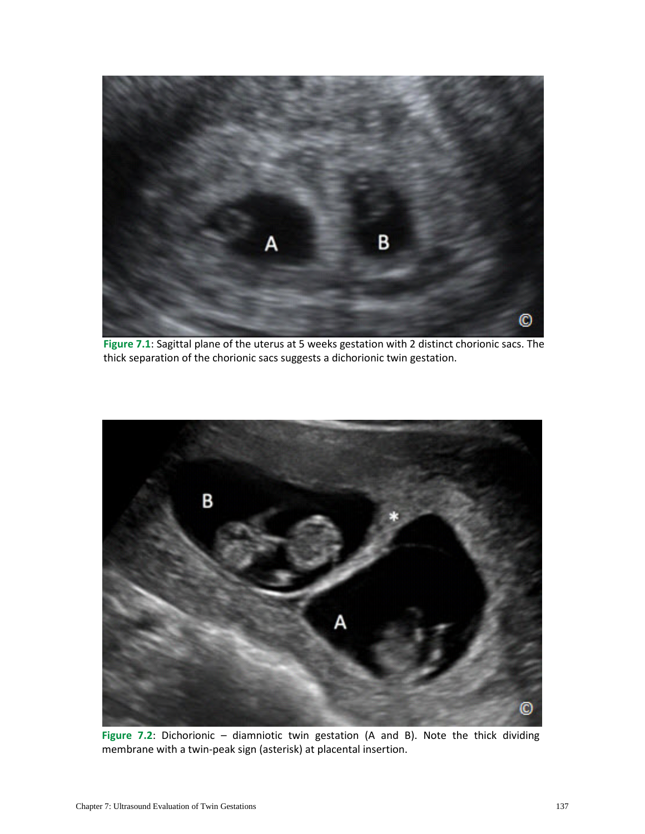

**Figure 7.1**: Sagittal plane of the uterus at 5 weeks gestation with 2 distinct chorionic sacs. The thick separation of the chorionic sacs suggests a dichorionic twin gestation.



**Figure 7.2**: Dichorionic – diamniotic twin gestation (A and B). Note the thick dividing membrane with a twin-peak sign (asterisk) at placental insertion.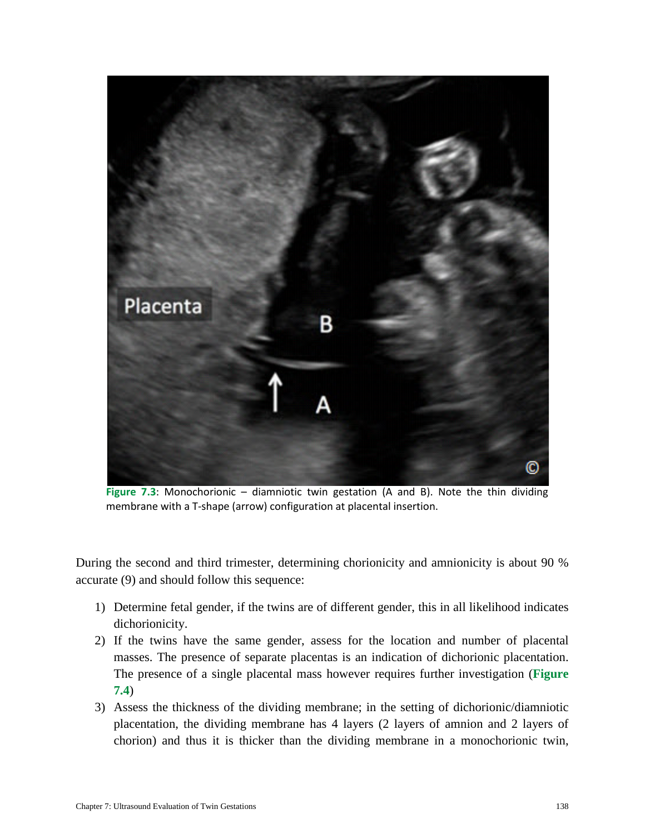

**Figure 7.3**: Monochorionic – diamniotic twin gestation (A and B). Note the thin dividing membrane with a T-shape (arrow) configuration at placental insertion.

During the second and third trimester, determining chorionicity and amnionicity is about 90 % accurate (9) and should follow this sequence:

- 1) Determine fetal gender, if the twins are of different gender, this in all likelihood indicates dichorionicity.
- 2) If the twins have the same gender, assess for the location and number of placental masses. The presence of separate placentas is an indication of dichorionic placentation. The presence of a single placental mass however requires further investigation (**Figure 7.4**)
- 3) Assess the thickness of the dividing membrane; in the setting of dichorionic/diamniotic placentation, the dividing membrane has 4 layers (2 layers of amnion and 2 layers of chorion) and thus it is thicker than the dividing membrane in a monochorionic twin,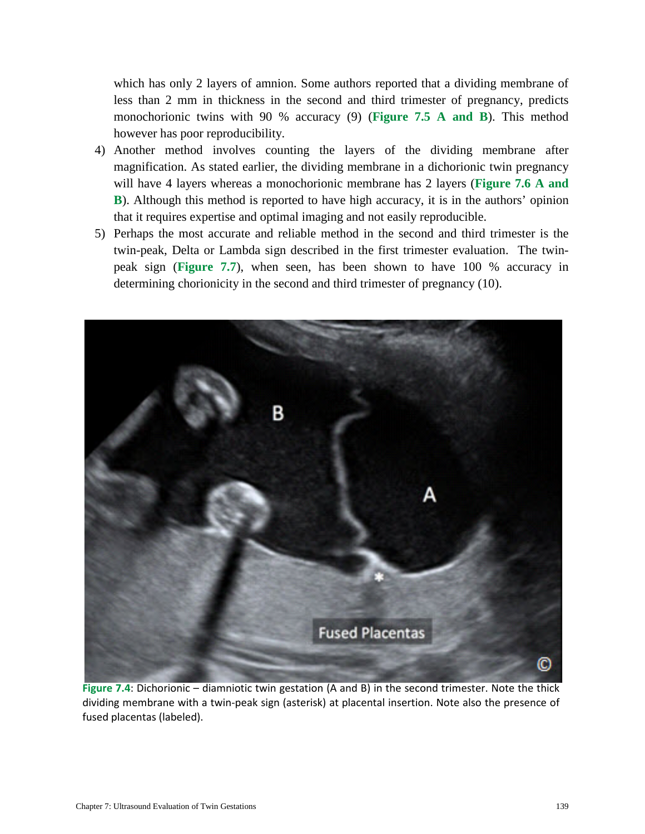which has only 2 layers of amnion. Some authors reported that a dividing membrane of less than 2 mm in thickness in the second and third trimester of pregnancy, predicts monochorionic twins with 90 % accuracy (9) (**Figure 7.5 A and B**). This method however has poor reproducibility.

- 4) Another method involves counting the layers of the dividing membrane after magnification. As stated earlier, the dividing membrane in a dichorionic twin pregnancy will have 4 layers whereas a monochorionic membrane has 2 layers (**Figure 7.6 A and B**). Although this method is reported to have high accuracy, it is in the authors' opinion that it requires expertise and optimal imaging and not easily reproducible.
- 5) Perhaps the most accurate and reliable method in the second and third trimester is the twin-peak, Delta or Lambda sign described in the first trimester evaluation. The twinpeak sign (**Figure 7.7**), when seen, has been shown to have 100 % accuracy in determining chorionicity in the second and third trimester of pregnancy (10).



**Figure 7.4**: Dichorionic – diamniotic twin gestation (A and B) in the second trimester. Note the thick dividing membrane with a twin-peak sign (asterisk) at placental insertion. Note also the presence of fused placentas (labeled).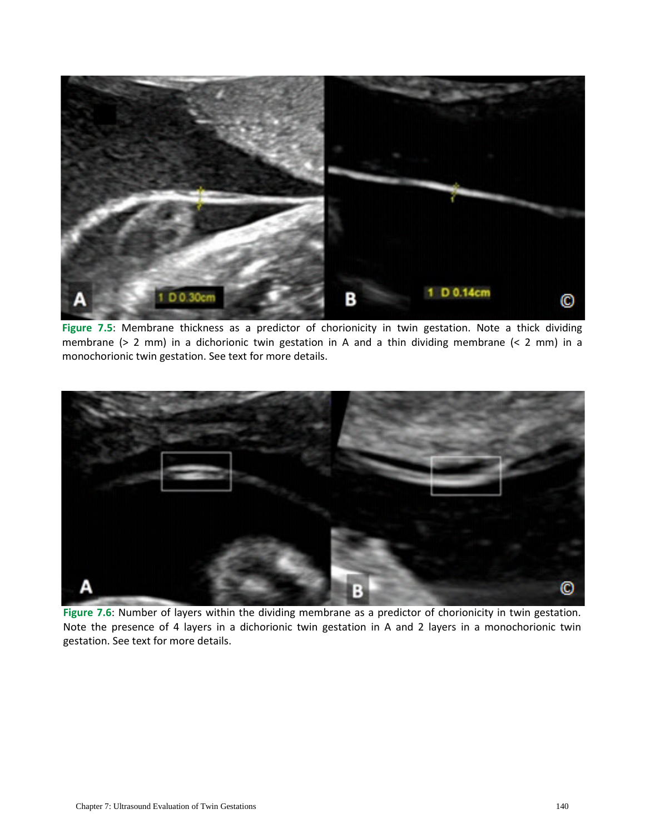

**Figure 7.5**: Membrane thickness as a predictor of chorionicity in twin gestation. Note a thick dividing membrane (> 2 mm) in a dichorionic twin gestation in A and a thin dividing membrane (< 2 mm) in a monochorionic twin gestation. See text for more details.



**Figure 7.6**: Number of layers within the dividing membrane as a predictor of chorionicity in twin gestation. Note the presence of 4 layers in a dichorionic twin gestation in A and 2 layers in a monochorionic twin gestation. See text for more details.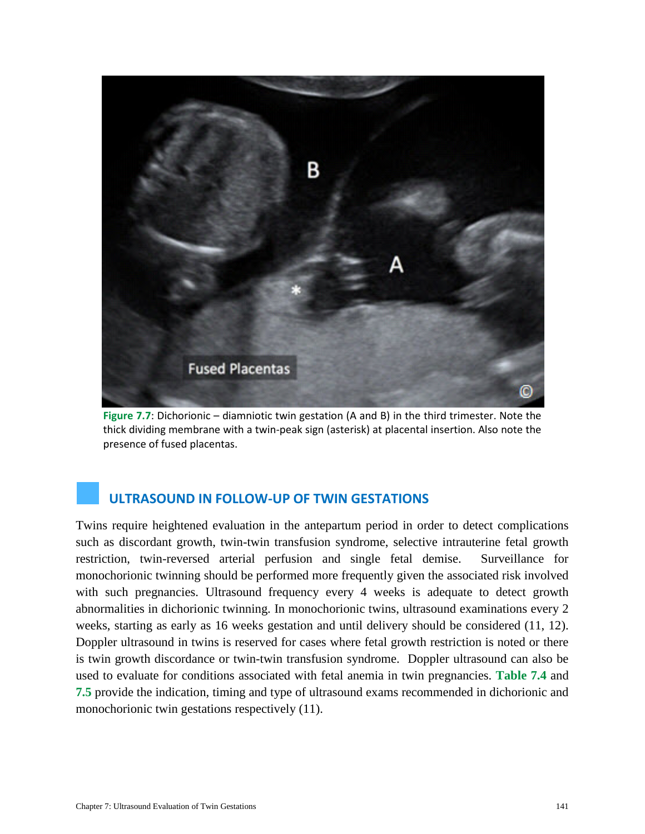

**Figure 7.7**: Dichorionic – diamniotic twin gestation (A and B) in the third trimester. Note the thick dividing membrane with a twin-peak sign (asterisk) at placental insertion. Also note the presence of fused placentas.

## **ULTRASOUND IN FOLLOW-UP OF TWIN GESTATIONS**

Twins require heightened evaluation in the antepartum period in order to detect complications such as discordant growth, twin-twin transfusion syndrome, selective intrauterine fetal growth restriction, twin-reversed arterial perfusion and single fetal demise. Surveillance for monochorionic twinning should be performed more frequently given the associated risk involved with such pregnancies. Ultrasound frequency every 4 weeks is adequate to detect growth abnormalities in dichorionic twinning. In monochorionic twins, ultrasound examinations every 2 weeks, starting as early as 16 weeks gestation and until delivery should be considered (11, 12). Doppler ultrasound in twins is reserved for cases where fetal growth restriction is noted or there is twin growth discordance or twin-twin transfusion syndrome. Doppler ultrasound can also be used to evaluate for conditions associated with fetal anemia in twin pregnancies. **Table 7.4** and **7.5** provide the indication, timing and type of ultrasound exams recommended in dichorionic and monochorionic twin gestations respectively (11).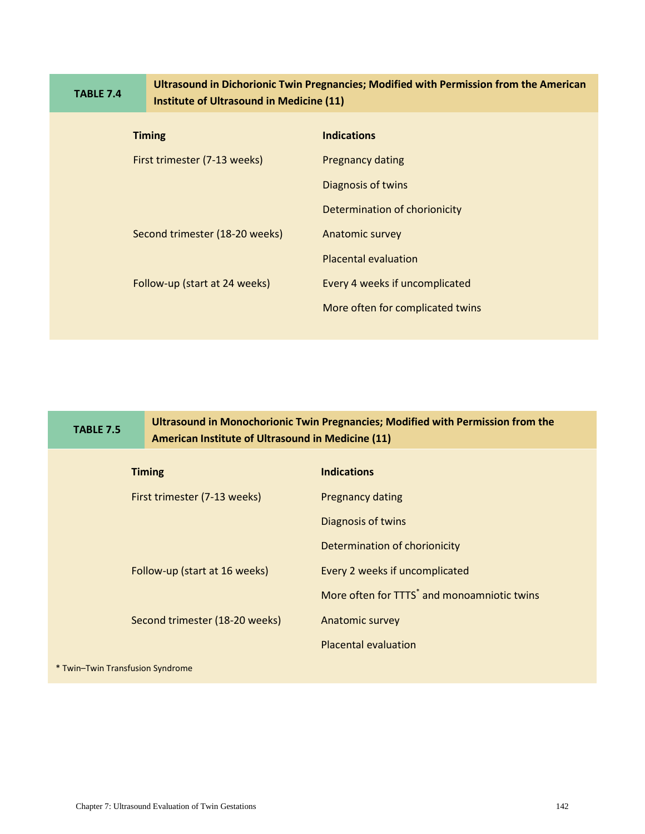|                              | <b>TABLE 7.4</b> | Ultrasound in Dichorionic Twin Pregnancies; Modified with Permission from the American<br>Institute of Ultrasound in Medicine (11) |                                  |  |  |
|------------------------------|------------------|------------------------------------------------------------------------------------------------------------------------------------|----------------------------------|--|--|
|                              |                  | <b>Timing</b>                                                                                                                      | <b>Indications</b>               |  |  |
| First trimester (7-13 weeks) |                  |                                                                                                                                    | <b>Pregnancy dating</b>          |  |  |
|                              |                  |                                                                                                                                    | Diagnosis of twins               |  |  |
|                              |                  |                                                                                                                                    | Determination of chorionicity    |  |  |
|                              |                  | Second trimester (18-20 weeks)                                                                                                     | Anatomic survey                  |  |  |
|                              |                  |                                                                                                                                    | <b>Placental evaluation</b>      |  |  |
|                              |                  | Follow-up (start at 24 weeks)                                                                                                      | Every 4 weeks if uncomplicated   |  |  |
|                              |                  |                                                                                                                                    | More often for complicated twins |  |  |
|                              |                  |                                                                                                                                    |                                  |  |  |

| <b>TABLE 7.5</b><br>American Institute of Ultrasound in Medicine (11) |                                | Ultrasound in Monochorionic Twin Pregnancies; Modified with Permission from the |
|-----------------------------------------------------------------------|--------------------------------|---------------------------------------------------------------------------------|
| <b>Timing</b>                                                         |                                | <b>Indications</b>                                                              |
| First trimester (7-13 weeks)                                          |                                | <b>Pregnancy dating</b>                                                         |
|                                                                       |                                | Diagnosis of twins                                                              |
|                                                                       |                                | Determination of chorionicity                                                   |
|                                                                       | Follow-up (start at 16 weeks)  | Every 2 weeks if uncomplicated                                                  |
|                                                                       |                                | More often for TTTS <sup>*</sup> and monoamniotic twins                         |
|                                                                       | Second trimester (18-20 weeks) | Anatomic survey                                                                 |
|                                                                       |                                | <b>Placental evaluation</b>                                                     |
| * Twin-Twin Transfusion Syndrome                                      |                                |                                                                                 |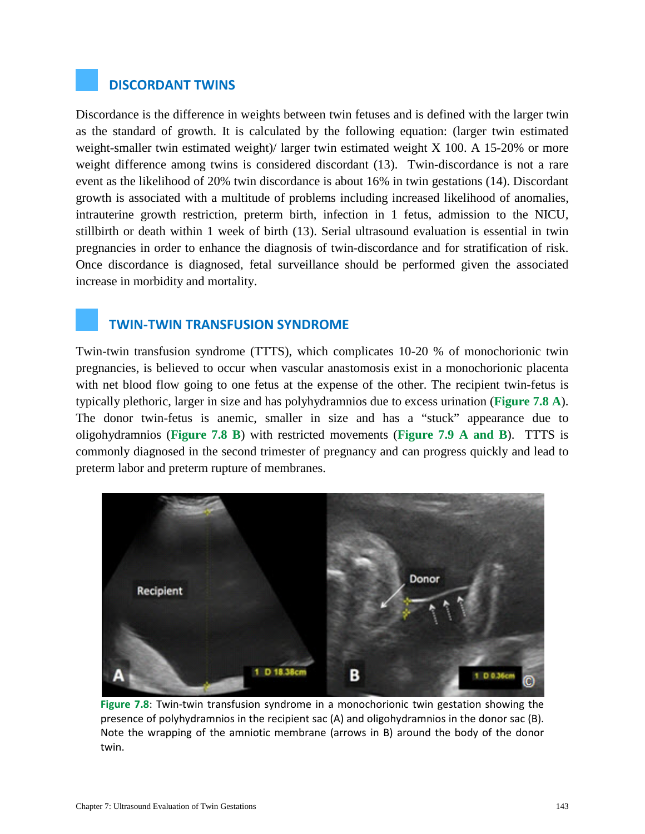#### **DISCORDANT TWINS**

Discordance is the difference in weights between twin fetuses and is defined with the larger twin as the standard of growth. It is calculated by the following equation: (larger twin estimated weight-smaller twin estimated weight)/ larger twin estimated weight X 100. A 15-20% or more weight difference among twins is considered discordant (13). Twin-discordance is not a rare event as the likelihood of 20% twin discordance is about 16% in twin gestations (14). Discordant growth is associated with a multitude of problems including increased likelihood of anomalies, intrauterine growth restriction, preterm birth, infection in 1 fetus, admission to the NICU, stillbirth or death within 1 week of birth (13). Serial ultrasound evaluation is essential in twin pregnancies in order to enhance the diagnosis of twin-discordance and for stratification of risk. Once discordance is diagnosed, fetal surveillance should be performed given the associated increase in morbidity and mortality.

#### **TWIN-TWIN TRANSFUSION SYNDROME**

Twin-twin transfusion syndrome (TTTS), which complicates 10-20 % of monochorionic twin pregnancies, is believed to occur when vascular anastomosis exist in a monochorionic placenta with net blood flow going to one fetus at the expense of the other. The recipient twin-fetus is typically plethoric, larger in size and has polyhydramnios due to excess urination (**Figure 7.8 A**). The donor twin-fetus is anemic, smaller in size and has a "stuck" appearance due to oligohydramnios (**Figure 7.8 B**) with restricted movements (**Figure 7.9 A and B**). TTTS is commonly diagnosed in the second trimester of pregnancy and can progress quickly and lead to preterm labor and preterm rupture of membranes.



**Figure 7.8**: Twin-twin transfusion syndrome in a monochorionic twin gestation showing the presence of polyhydramnios in the recipient sac (A) and oligohydramnios in the donor sac (B). Note the wrapping of the amniotic membrane (arrows in B) around the body of the donor twin.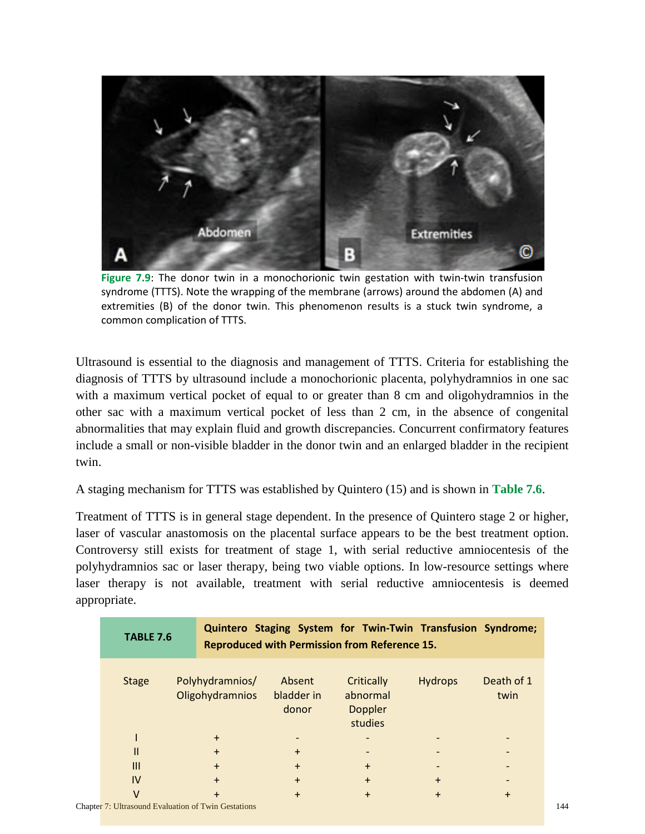

**Figure 7.9**: The donor twin in a monochorionic twin gestation with twin-twin transfusion syndrome (TTTS). Note the wrapping of the membrane (arrows) around the abdomen (A) and extremities (B) of the donor twin. This phenomenon results is a stuck twin syndrome, a common complication of TTTS.

Ultrasound is essential to the diagnosis and management of TTTS. Criteria for establishing the diagnosis of TTTS by ultrasound include a monochorionic placenta, polyhydramnios in one sac with a maximum vertical pocket of equal to or greater than 8 cm and oligohydramnios in the other sac with a maximum vertical pocket of less than 2 cm, in the absence of congenital abnormalities that may explain fluid and growth discrepancies. Concurrent confirmatory features include a small or non-visible bladder in the donor twin and an enlarged bladder in the recipient twin.

A staging mechanism for TTTS was established by Quintero (15) and is shown in **Table 7.6**.

Treatment of TTTS is in general stage dependent. In the presence of Quintero stage 2 or higher, laser of vascular anastomosis on the placental surface appears to be the best treatment option. Controversy still exists for treatment of stage 1, with serial reductive amniocentesis of the polyhydramnios sac or laser therapy, being two viable options. In low-resource settings where laser therapy is not available, treatment with serial reductive amniocentesis is deemed appropriate.

| <b>TABLE 7.6</b> |                                                            |                               | Quintero Staging System for Twin-Twin Transfusion Syndrome;<br><b>Reproduced with Permission from Reference 15.</b> |                |                    |
|------------------|------------------------------------------------------------|-------------------------------|---------------------------------------------------------------------------------------------------------------------|----------------|--------------------|
| <b>Stage</b>     | Polyhydramnios/<br>Oligohydramnios                         | Absent<br>bladder in<br>donor | Critically<br>abnormal<br><b>Doppler</b><br>studies                                                                 | <b>Hydrops</b> | Death of 1<br>twin |
|                  | $+$                                                        |                               |                                                                                                                     |                |                    |
| Ш                | $\ddot{}$                                                  | $+$                           |                                                                                                                     |                |                    |
| $\mathbf{III}$   | $+$                                                        | $+$                           | $+$                                                                                                                 |                |                    |
| IV               | $\ddot{}$                                                  | $+$                           | $+$                                                                                                                 | $\ddot{}$      |                    |
|                  | $\ddot{}$                                                  | $\ddot{}$                     | $+$                                                                                                                 | $+$            | $+$                |
|                  | <b>Chapter 7: Ultrasound Evaluation of Twin Gestations</b> |                               |                                                                                                                     |                |                    |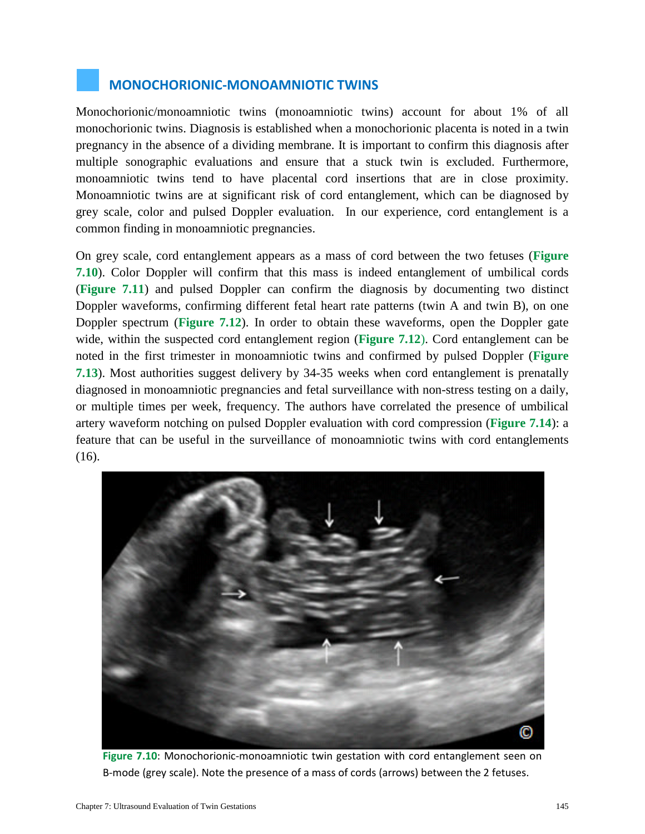#### **MONOCHORIONIC-MONOAMNIOTIC TWINS**

Monochorionic/monoamniotic twins (monoamniotic twins) account for about 1% of all monochorionic twins. Diagnosis is established when a monochorionic placenta is noted in a twin pregnancy in the absence of a dividing membrane. It is important to confirm this diagnosis after multiple sonographic evaluations and ensure that a stuck twin is excluded. Furthermore, monoamniotic twins tend to have placental cord insertions that are in close proximity. Monoamniotic twins are at significant risk of cord entanglement, which can be diagnosed by grey scale, color and pulsed Doppler evaluation. In our experience, cord entanglement is a common finding in monoamniotic pregnancies.

On grey scale, cord entanglement appears as a mass of cord between the two fetuses (**Figure 7.10**). Color Doppler will confirm that this mass is indeed entanglement of umbilical cords (**Figure 7.11**) and pulsed Doppler can confirm the diagnosis by documenting two distinct Doppler waveforms, confirming different fetal heart rate patterns (twin A and twin B), on one Doppler spectrum (**Figure 7.12**). In order to obtain these waveforms, open the Doppler gate wide, within the suspected cord entanglement region (**Figure 7.12**). Cord entanglement can be noted in the first trimester in monoamniotic twins and confirmed by pulsed Doppler (**Figure 7.13**). Most authorities suggest delivery by 34-35 weeks when cord entanglement is prenatally diagnosed in monoamniotic pregnancies and fetal surveillance with non-stress testing on a daily, or multiple times per week, frequency. The authors have correlated the presence of umbilical artery waveform notching on pulsed Doppler evaluation with cord compression (**Figure 7.14**): a feature that can be useful in the surveillance of monoamniotic twins with cord entanglements (16).



**Figure 7.10**: Monochorionic-monoamniotic twin gestation with cord entanglement seen on B-mode (grey scale). Note the presence of a mass of cords (arrows) between the 2 fetuses.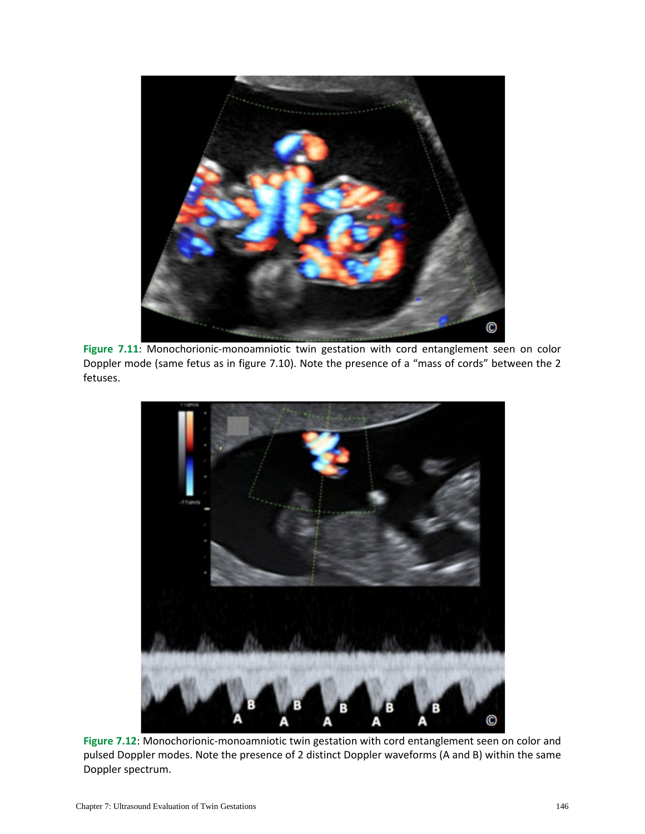

Figure 7.11: Monochorionic-monoamniotic twin gestation with cord entanglement seen on color Doppler mode (same fetus as in figure 7.10). Note the presence of a "mass of cords" between the 2 fetuses.



**Figure 7.12**: Monochorionic-monoamniotic twin gestation with cord entanglement seen on color and pulsed Doppler modes. Note the presence of 2 distinct Doppler waveforms (A and B) within the same Doppler spectrum.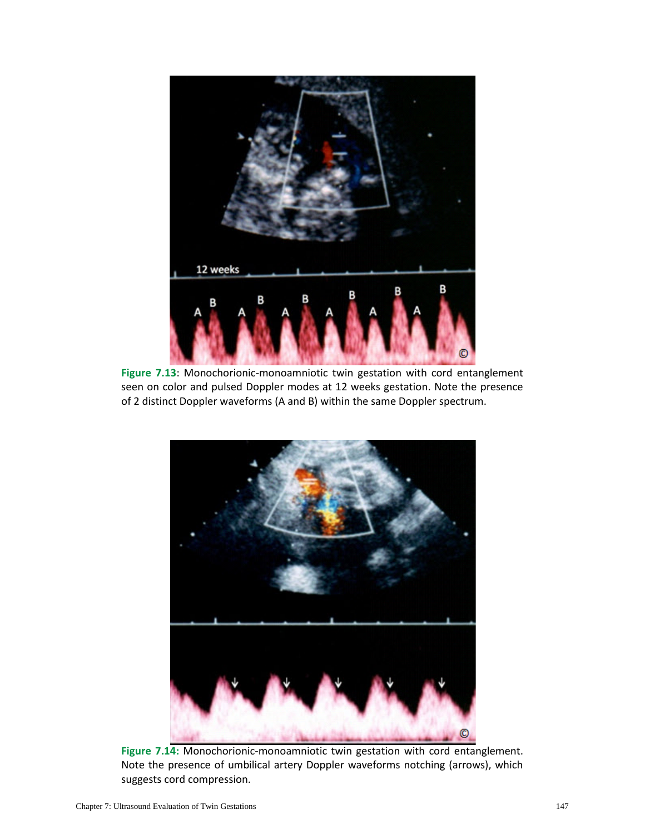

**Figure 7.13**: Monochorionic-monoamniotic twin gestation with cord entanglement seen on color and pulsed Doppler modes at 12 weeks gestation. Note the presence of 2 distinct Doppler waveforms (A and B) within the same Doppler spectrum.



**Figure 7.14:** Monochorionic-monoamniotic twin gestation with cord entanglement. Note the presence of umbilical artery Doppler waveforms notching (arrows), which suggests cord compression.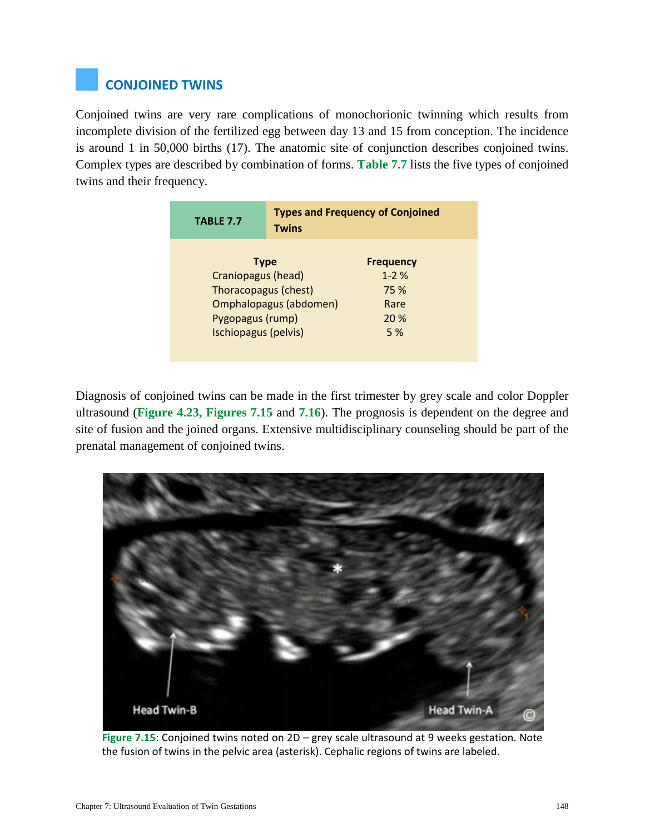# **CONJOINED TWINS**

Conjoined twins are very rare complications of monochorionic twinning which results from incomplete division of the fertilized egg between day 13 and 15 from conception. The incidence is around 1 in 50,000 births (17). The anatomic site of conjunction describes conjoined twins. Complex types are described by combination of forms. **Table 7.7** lists the five types of conjoined twins and their frequency.

| <b>TABLE 7.7</b>       | <b>Types and Frequency of Conjoined</b><br><b>Twins</b> |                  |  |
|------------------------|---------------------------------------------------------|------------------|--|
|                        | <b>Type</b>                                             | <b>Frequency</b> |  |
| Craniopagus (head)     |                                                         | $1 - 2%$         |  |
| Thoracopagus (chest)   |                                                         | 75 %             |  |
| Omphalopagus (abdomen) |                                                         | Rare             |  |
| Pygopagus (rump)       |                                                         | 20 %             |  |
| Ischiopagus (pelvis)   | 5 %                                                     |                  |  |

Diagnosis of conjoined twins can be made in the first trimester by grey scale and color Doppler ultrasound (**Figure 4.23, Figures 7.15** and **7.16**). The prognosis is dependent on the degree and site of fusion and the joined organs. Extensive multidisciplinary counseling should be part of the prenatal management of conjoined twins.



**Figure 7.15**: Conjoined twins noted on 2D – grey scale ultrasound at 9 weeks gestation. Note the fusion of twins in the pelvic area (asterisk). Cephalic regions of twins are labeled.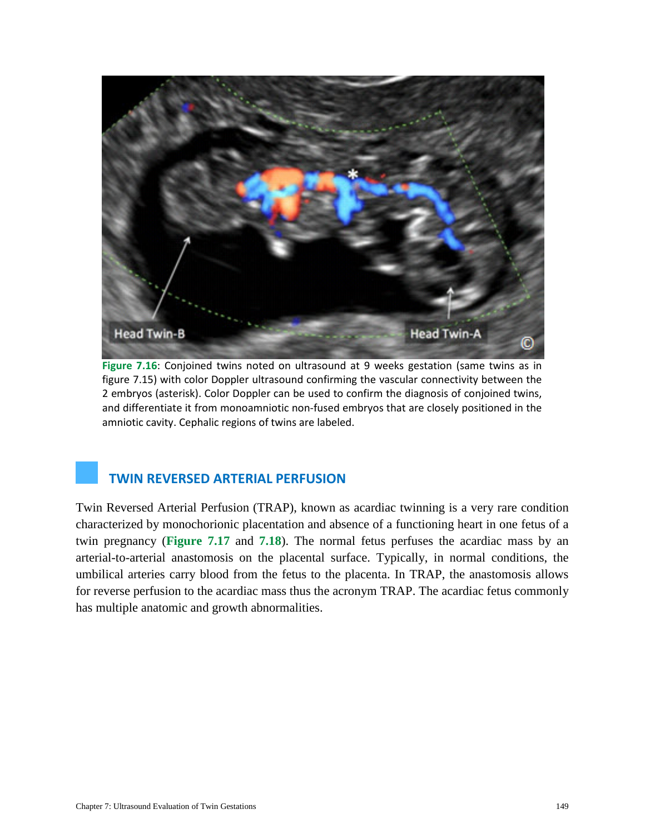

**Figure 7.16**: Conjoined twins noted on ultrasound at 9 weeks gestation (same twins as in figure 7.15) with color Doppler ultrasound confirming the vascular connectivity between the 2 embryos (asterisk). Color Doppler can be used to confirm the diagnosis of conjoined twins, and differentiate it from monoamniotic non-fused embryos that are closely positioned in the amniotic cavity. Cephalic regions of twins are labeled.

# **TWIN REVERSED ARTERIAL PERFUSION**

Twin Reversed Arterial Perfusion (TRAP), known as acardiac twinning is a very rare condition characterized by monochorionic placentation and absence of a functioning heart in one fetus of a twin pregnancy (**Figure 7.17** and **7.18**). The normal fetus perfuses the acardiac mass by an arterial-to-arterial anastomosis on the placental surface. Typically, in normal conditions, the umbilical arteries carry blood from the fetus to the placenta. In TRAP, the anastomosis allows for reverse perfusion to the acardiac mass thus the acronym TRAP. The acardiac fetus commonly has multiple anatomic and growth abnormalities.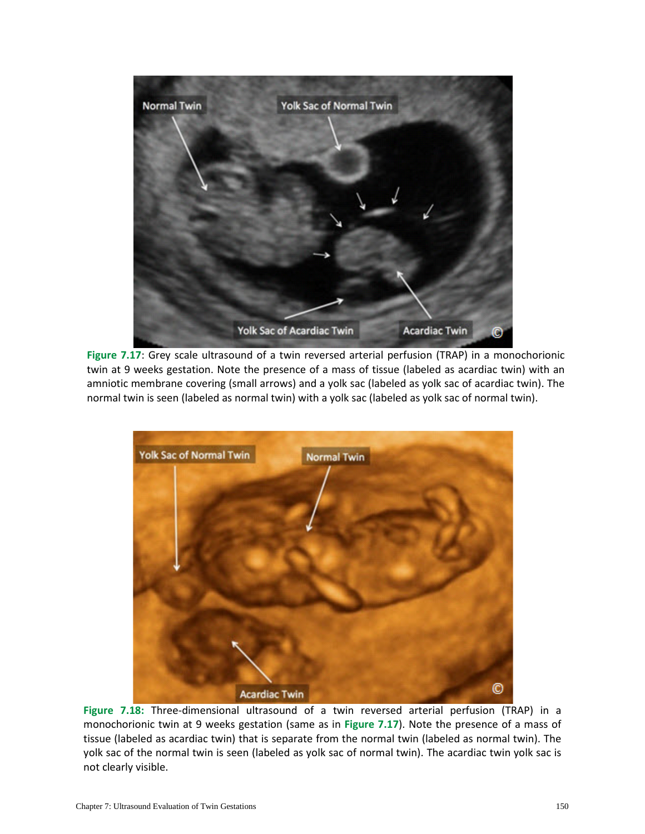

**Figure 7.17**: Grey scale ultrasound of a twin reversed arterial perfusion (TRAP) in a monochorionic twin at 9 weeks gestation. Note the presence of a mass of tissue (labeled as acardiac twin) with an amniotic membrane covering (small arrows) and a yolk sac (labeled as yolk sac of acardiac twin). The normal twin is seen (labeled as normal twin) with a yolk sac (labeled as yolk sac of normal twin).



**Figure 7.18:** Three-dimensional ultrasound of a twin reversed arterial perfusion (TRAP) in a monochorionic twin at 9 weeks gestation (same as in **Figure 7.17**). Note the presence of a mass of tissue (labeled as acardiac twin) that is separate from the normal twin (labeled as normal twin). The yolk sac of the normal twin is seen (labeled as yolk sac of normal twin). The acardiac twin yolk sac is not clearly visible.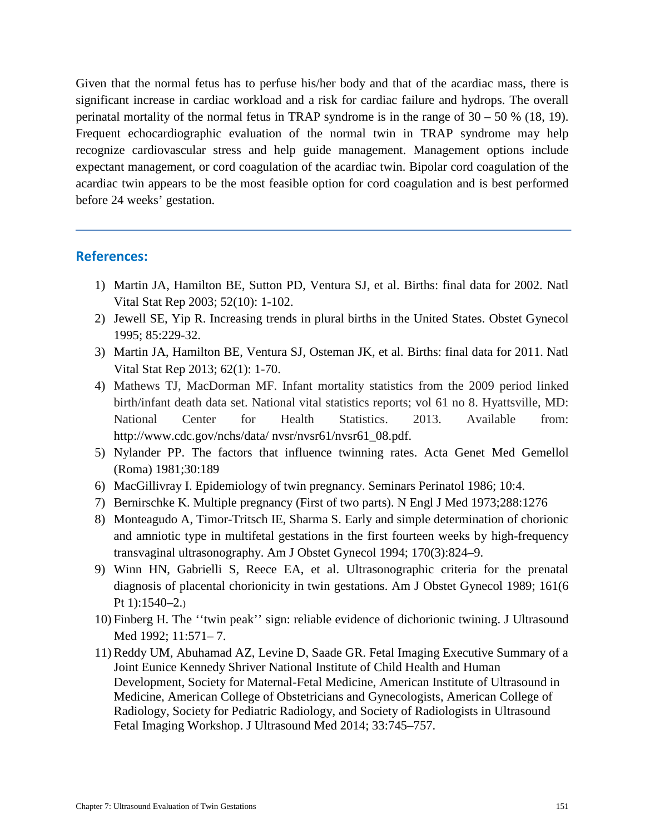Given that the normal fetus has to perfuse his/her body and that of the acardiac mass, there is significant increase in cardiac workload and a risk for cardiac failure and hydrops. The overall perinatal mortality of the normal fetus in TRAP syndrome is in the range of  $30 - 50$  % (18, 19). Frequent echocardiographic evaluation of the normal twin in TRAP syndrome may help recognize cardiovascular stress and help guide management. Management options include expectant management, or cord coagulation of the acardiac twin. Bipolar cord coagulation of the acardiac twin appears to be the most feasible option for cord coagulation and is best performed before 24 weeks' gestation.

#### **References:**

- 1) Martin JA, Hamilton BE, Sutton PD, Ventura SJ, et al. Births: final data for 2002. Natl Vital Stat Rep 2003; 52(10): 1-102.
- 2) Jewell SE, Yip R. Increasing trends in plural births in the United States. Obstet Gynecol 1995; 85:229-32.
- 3) Martin JA, Hamilton BE, Ventura SJ, Osteman JK, et al. Births: final data for 2011. Natl Vital Stat Rep 2013; 62(1): 1-70.
- 4) Mathews TJ, MacDorman MF. Infant mortality statistics from the 2009 period linked birth/infant death data set. National vital statistics reports; vol 61 no 8. Hyattsville, MD: National Center for Health Statistics. 2013. Available from: http://www.cdc.gov/nchs/data/ nvsr/nvsr61/nvsr61\_08.pdf.
- 5) Nylander PP. The factors that influence twinning rates. Acta Genet Med Gemellol (Roma) 1981;30:189
- 6) MacGillivray I. Epidemiology of twin pregnancy. Seminars Perinatol 1986; 10:4.
- 7) Bernirschke K. Multiple pregnancy (First of two parts). N Engl J Med 1973;288:1276
- 8) Monteagudo A, Timor-Tritsch IE, Sharma S. Early and simple determination of chorionic and amniotic type in multifetal gestations in the first fourteen weeks by high-frequency transvaginal ultrasonography. Am J Obstet Gynecol 1994; 170(3):824–9.
- 9) Winn HN, Gabrielli S, Reece EA, et al. Ultrasonographic criteria for the prenatal diagnosis of placental chorionicity in twin gestations. Am J Obstet Gynecol 1989; 161(6 Pt 1):1540–2.)
- 10) Finberg H. The ''twin peak'' sign: reliable evidence of dichorionic twining. J Ultrasound Med 1992; 11:571– 7.
- 11) Reddy UM, Abuhamad AZ, Levine D, Saade GR. Fetal Imaging Executive Summary of a Joint Eunice Kennedy Shriver National Institute of Child Health and Human Development, Society for Maternal-Fetal Medicine, American Institute of Ultrasound in Medicine, American College of Obstetricians and Gynecologists, American College of Radiology, Society for Pediatric Radiology, and Society of Radiologists in Ultrasound Fetal Imaging Workshop. J Ultrasound Med 2014; 33:745–757.